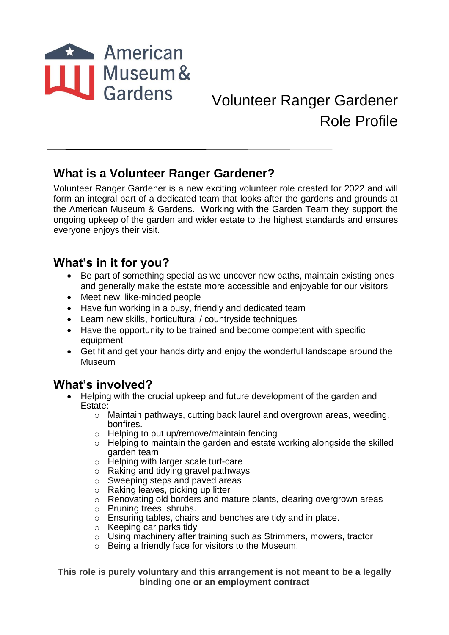

# Volunteer Ranger Gardener Role Profile

# **What is a Volunteer Ranger Gardener?**

Volunteer Ranger Gardener is a new exciting volunteer role created for 2022 and will form an integral part of a dedicated team that looks after the gardens and grounds at the American Museum & Gardens. Working with the Garden Team they support the ongoing upkeep of the garden and wider estate to the highest standards and ensures everyone enjoys their visit.

#### **What's in it for you?**

- Be part of something special as we uncover new paths, maintain existing ones and generally make the estate more accessible and enjoyable for our visitors
- Meet new, like-minded people
- Have fun working in a busy, friendly and dedicated team
- Learn new skills, horticultural / countryside techniques
- Have the opportunity to be trained and become competent with specific equipment
- Get fit and get your hands dirty and enjoy the wonderful landscape around the Museum

# **What's involved?**

- Helping with the crucial upkeep and future development of the garden and Estate:
	- o Maintain pathways, cutting back laurel and overgrown areas, weeding, bonfires.
	- o Helping to put up/remove/maintain fencing
	- o Helping to maintain the garden and estate working alongside the skilled garden team
	- o Helping with larger scale turf-care
	- o Raking and tidying gravel pathways
	- o Sweeping steps and paved areas
	- o Raking leaves, picking up litter
	- o Renovating old borders and mature plants, clearing overgrown areas
	- o Pruning trees, shrubs.
	- o Ensuring tables, chairs and benches are tidy and in place.
	- o Keeping car parks tidy
	- o Using machinery after training such as Strimmers, mowers, tractor
	- o Being a friendly face for visitors to the Museum!

**This role is purely voluntary and this arrangement is not meant to be a legally binding one or an employment contract**